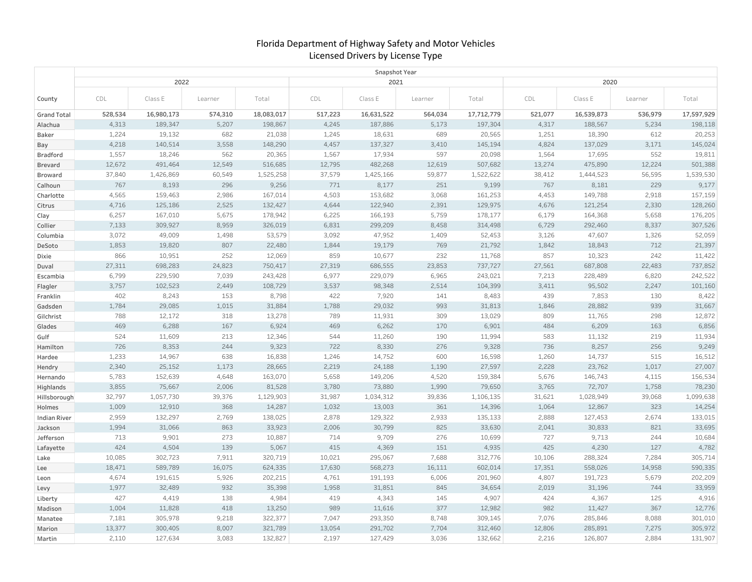## Florida Department of Highway Safety and Motor Vehicles Licensed Drivers by License Type

|                     | Snapshot Year  |                   |               |                   |                |                   |               |                   |                |                   |              |                   |  |
|---------------------|----------------|-------------------|---------------|-------------------|----------------|-------------------|---------------|-------------------|----------------|-------------------|--------------|-------------------|--|
|                     |                | 2022              |               |                   |                | 2021              |               |                   | 2020           |                   |              |                   |  |
| County              | CDL            | Class E           | Learner       | Total             | CDL            | Class E           | Learner       | Total             | CDL            | Class E           | Learner      | Total             |  |
| <b>Grand Total</b>  | 528,534        | 16,980,173        | 574,310       | 18,083,017        | 517,223        | 16,631,522        | 564,034       | 17,712,779        | 521,077        | 16,539,873        | 536,979      | 17,597,929        |  |
| Alachua             | 4,313          | 189,347           | 5,207         | 198,867           | 4,245          | 187,886           | 5,173         | 197,304           | 4,317          | 188,567           | 5,234        | 198,118           |  |
| Baker               | 1,224          | 19,132            | 682           | 21,038            | 1,245          | 18,631            | 689           | 20,565            | 1,251          | 18,390            | 612          | 20,253            |  |
| Bay                 | 4,218          | 140,514           | 3,558         | 148,290           | 4,457          | 137,327           | 3,410         | 145,194           | 4,824          | 137,029           | 3,171        | 145,024           |  |
| Bradford            | 1,557          | 18,246            | 562           | 20,365            | 1,567          | 17,934            | 597           | 20,098            | 1,564          | 17,695            | 552          | 19,811            |  |
| Brevard             | 12,672         | 491,464           | 12,549        | 516,685           | 12,795         | 482,268           | 12,619        | 507,682           | 13,274         | 475,890           | 12,224       | 501,388           |  |
| Broward             | 37,840         | 1,426,869         | 60,549        | 1,525,258         | 37,579         | 1,425,166         | 59,877        | 1,522,622         | 38,412         | 1,444,523         | 56,595       | 1,539,530         |  |
| Calhoun             | 767            | 8,193             | 296           | 9,256             | 771            | 8,177             | 251           | 9,199             | 767            | 8,181             | 229          | 9,177             |  |
| Charlotte           | 4,565          | 159,463           | 2,986         | 167,014           | 4,503          | 153,682           | 3,068         | 161,253           | 4,453          | 149,788           | 2,918        | 157,159           |  |
| Citrus              | 4,716          | 125,186           | 2,525         | 132,427           | 4,644          | 122,940           | 2,391         | 129,975           | 4,676          | 121,254           | 2,330        | 128,260           |  |
| Clay                | 6,257          | 167,010           | 5,675         | 178,942           | 6,225          | 166,193           | 5,759         | 178,177           | 6,179          | 164,368           | 5,658        | 176,205           |  |
| Collier             | 7,133          | 309,927           | 8,959         | 326,019           | 6,831          | 299,209           | 8,458         | 314,498           | 6,729          | 292,460           | 8,337        | 307,526           |  |
| Columbia            | 3,072<br>1,853 | 49,009            | 1,498<br>807  | 53,579            | 3,092<br>1,844 | 47,952            | 1,409<br>769  | 52,453            | 3,126<br>1,842 | 47,607<br>18,843  | 1,326<br>712 | 52,059            |  |
| DeSoto              | 866            | 19,820            |               | 22,480            |                | 19,179            |               | 21,792            |                |                   | 242          | 21,397            |  |
| Dixie               | 27,311         | 10,951<br>698,283 | 252<br>24,823 | 12,069<br>750,417 | 859<br>27,319  | 10,677<br>686,555 | 232<br>23,853 | 11,768<br>737,727 | 857<br>27,561  | 10,323<br>687,808 | 22,483       | 11,422<br>737,852 |  |
| Duval               | 6,799          | 229,590           | 7,039         | 243,428           | 6,977          | 229,079           | 6,965         | 243,021           | 7,213          | 228,489           | 6,820        | 242,522           |  |
| Escambia<br>Flagler | 3,757          | 102,523           | 2,449         | 108,729           | 3,537          | 98,348            | 2,514         | 104,399           | 3,411          | 95,502            | 2,247        | 101,160           |  |
| Franklin            | 402            | 8,243             | 153           | 8,798             | 422            | 7,920             | 141           | 8,483             | 439            | 7,853             | 130          | 8,422             |  |
| Gadsden             | 1,784          | 29,085            | 1,015         | 31,884            | 1,788          | 29,032            | 993           | 31,813            | 1,846          | 28,882            | 939          | 31,667            |  |
| Gilchrist           | 788            | 12,172            | 318           | 13,278            | 789            | 11,931            | 309           | 13,029            | 809            | 11,765            | 298          | 12,872            |  |
| Glades              | 469            | 6,288             | 167           | 6,924             | 469            | 6,262             | 170           | 6,901             | 484            | 6,209             | 163          | 6,856             |  |
| Gulf                | 524            | 11,609            | 213           | 12,346            | 544            | 11,260            | 190           | 11,994            | 583            | 11,132            | 219          | 11,934            |  |
| Hamilton            | 726            | 8,353             | 244           | 9,323             | 722            | 8,330             | 276           | 9,328             | 736            | 8,257             | 256          | 9,249             |  |
| Hardee              | 1,233          | 14,967            | 638           | 16,838            | 1,246          | 14,752            | 600           | 16,598            | 1,260          | 14,737            | 515          | 16,512            |  |
| Hendry              | 2,340          | 25,152            | 1,173         | 28,665            | 2,219          | 24,188            | 1,190         | 27,597            | 2,228          | 23,762            | 1,017        | 27,007            |  |
| Hernando            | 5,783          | 152,639           | 4,648         | 163,070           | 5,658          | 149,206           | 4,520         | 159,384           | 5,676          | 146,743           | 4,115        | 156,534           |  |
| Highlands           | 3,855          | 75,667            | 2,006         | 81,528            | 3,780          | 73,880            | 1,990         | 79,650            | 3,765          | 72,707            | 1,758        | 78,230            |  |
| Hillsborough        | 32,797         | 1,057,730         | 39,376        | 1,129,903         | 31,987         | 1,034,312         | 39,836        | 1,106,135         | 31,621         | 1,028,949         | 39,068       | 1,099,638         |  |
| Holmes              | 1,009          | 12,910            | 368           | 14,287            | 1,032          | 13,003            | 361           | 14,396            | 1,064          | 12,867            | 323          | 14,254            |  |
| <b>Indian River</b> | 2,959          | 132,297           | 2,769         | 138,025           | 2,878          | 129,322           | 2,933         | 135,133           | 2,888          | 127,453           | 2,674        | 133,015           |  |
| Jackson             | 1,994          | 31,066            | 863           | 33,923            | 2,006          | 30,799            | 825           | 33,630            | 2,041          | 30,833            | 821          | 33,695            |  |
| Jefferson           | 713            | 9,901             | 273           | 10,887            | 714            | 9,709             | 276           | 10,699            | 727            | 9,713             | 244          | 10,684            |  |
| Lafayette           | 424            | 4,504             | 139           | 5,067             | 415            | 4,369             | 151           | 4,935             | 425            | 4,230             | 127          | 4,782             |  |
| Lake                | 10,085         | 302,723           | 7,911         | 320,719           | 10,021         | 295,067           | 7,688         | 312,776           | 10,106         | 288,324           | 7,284        | 305,714           |  |
| Lee                 | 18,471         | 589,789           | 16,075        | 624,335           | 17,630         | 568,273           | 16,111        | 602,014           | 17,351         | 558,026           | 14,958       | 590,335           |  |
| Leon                | 4,674          | 191,615           | 5,926         | 202,215           | 4,761          | 191,193           | 6,006         | 201,960           | 4,807          | 191,723           | 5,679        | 202,209           |  |
| Levy                | 1,977          | 32,489            | 932           | 35,398            | 1,958          | 31,851            | 845           | 34,654            | 2,019          | 31,196            | 744          | 33,959            |  |
| Liberty             | 427            | 4,419             | 138           | 4,984             | 419            | 4,343             | 145           | 4,907             | 424            | 4,367             | 125          | 4,916             |  |
| Madison             | 1,004          | 11,828            | 418           | 13,250            | 989            | 11,616            | 377           | 12,982            | 982            | 11,427            | 367          | 12,776            |  |
| Manatee             | 7,181          | 305,978           | 9,218         | 322,377           | 7,047          | 293,350           | 8,748         | 309,145           | 7,076          | 285,846           | 8,088        | 301,010           |  |
| Marion              | 13,377         | 300,405           | 8,007         | 321,789           | 13,054         | 291,702           | 7,704         | 312,460           | 12,806         | 285,891           | 7,275        | 305,972           |  |
| Martin              | 2,110          | 127,634           | 3,083         | 132,827           | 2,197          | 127,429           | 3,036         | 132,662           | 2,216          | 126,807           | 2,884        | 131,907           |  |